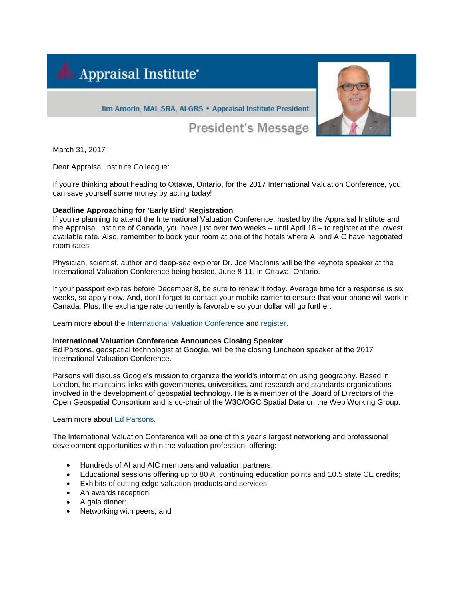



Jim Amorin, MAI, SRA, AI-GRS . Appraisal Institute President

President's Message

March 31, 2017

Dear Appraisal Institute Colleague:

If you're thinking about heading to Ottawa, Ontario, for the 2017 International Valuation Conference, you can save yourself some money by acting today!

# **Deadline Approaching for 'Early Bird' Registration**

If you're planning to attend the International Valuation Conference, hosted by the Appraisal Institute and the Appraisal Institute of Canada, you have just over two weeks – until April 18 – to register at the lowest available rate. Also, remember to book your room at one of the hotels where AI and AIC have negotiated room rates.

Physician, scientist, author and deep-sea explorer Dr. Joe MacInnis will be the keynote speaker at the International Valuation Conference being hosted, June 8-11, in Ottawa, Ontario.

If your passport expires before December 8, be sure to renew it today. Average time for a response is six weeks, so apply now. And, don't forget to contact your mobile carrier to ensure that your phone will work in Canada. Plus, the exchange rate currently is favorable so your dollar will go further.

Learn more about the [International Valuation Conference](http://send.appraisalinstitute.org/link.cfm?r=vSISoX4mGnY2g_XYoMpYzQ~~&pe=pIKszdJ8QGNcOVgx75GCHWrOBYJrEZaHWMgx9sPrvoWANOYJaS7IhDU4_9vBgZnRtBngAaIGpWabkWC6fqko-g~~) and [register.](http://send.appraisalinstitute.org/link.cfm?r=vSISoX4mGnY2g_XYoMpYzQ~~&pe=zo0dlf-O7lAaKQ5nivItrArgBDBM2ZTIUGVFwlWnHCGZT_am3NFhoK2F7JcBaw2issuOmQtaSMB15JP84jWGWg~~)

## **International Valuation Conference Announces Closing Speaker**

Ed Parsons, geospatial technologist at Google, will be the closing luncheon speaker at the 2017 International Valuation Conference.

Parsons will discuss Google's mission to organize the world's information using geography. Based in London, he maintains links with governments, universities, and research and standards organizations involved in the development of geospatial technology. He is a member of the Board of Directors of the Open Geospatial Consortium and is co-chair of the W3C/OGC Spatial Data on the Web Working Group.

Learn more about [Ed Parsons.](http://send.appraisalinstitute.org/link.cfm?r=vSISoX4mGnY2g_XYoMpYzQ~~&pe=07_aAdwtGqum2VlvzsMYMWZQJgywP7FrLNSOLciPluFgHdydZmJ4-Kf6yj7pVnirlGrrw-hn8ZTdaPocrQKD9w~~)

The International Valuation Conference will be one of this year's largest networking and professional development opportunities within the valuation profession, offering:

- Hundreds of AI and AIC members and valuation partners;
- Educational sessions offering up to 80 AI continuing education points and 10.5 state CE credits;
- Exhibits of cutting-edge valuation products and services;
- An awards reception;
- A gala dinner;
- Networking with peers; and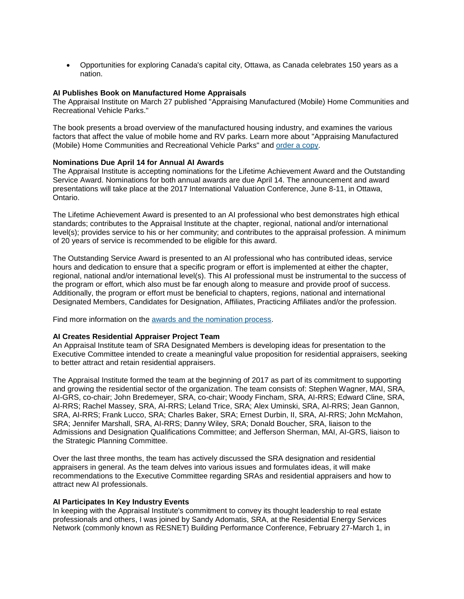• Opportunities for exploring Canada's capital city, Ottawa, as Canada celebrates 150 years as a nation.

## **AI Publishes Book on Manufactured Home Appraisals**

The Appraisal Institute on March 27 published "Appraising Manufactured (Mobile) Home Communities and Recreational Vehicle Parks."

The book presents a broad overview of the manufactured housing industry, and examines the various factors that affect the value of mobile home and RV parks. Learn more about "Appraising Manufactured (Mobile) Home Communities and Recreational Vehicle Parks" and [order a copy.](http://send.appraisalinstitute.org/link.cfm?r=vSISoX4mGnY2g_XYoMpYzQ~~&pe=VjZHHfcYIEIjDIjClAH8mOYar6w5GX6NEWt4LDvWTHqHyvxGJW6Y0w94gXsuCB1IF0wDNoicBkFn_7VM03nyZA~~)

### **Nominations Due April 14 for Annual AI Awards**

The Appraisal Institute is accepting nominations for the Lifetime Achievement Award and the Outstanding Service Award. Nominations for both annual awards are due April 14. The announcement and award presentations will take place at the 2017 International Valuation Conference, June 8-11, in Ottawa, Ontario.

The Lifetime Achievement Award is presented to an AI professional who best demonstrates high ethical standards; contributes to the Appraisal Institute at the chapter, regional, national and/or international level(s); provides service to his or her community; and contributes to the appraisal profession. A minimum of 20 years of service is recommended to be eligible for this award.

The Outstanding Service Award is presented to an AI professional who has contributed ideas, service hours and dedication to ensure that a specific program or effort is implemented at either the chapter, regional, national and/or international level(s). This AI professional must be instrumental to the success of the program or effort, which also must be far enough along to measure and provide proof of success. Additionally, the program or effort must be beneficial to chapters, regions, national and international Designated Members, Candidates for Designation, Affiliates, Practicing Affiliates and/or the profession.

Find more information on the [awards and the nomination process.](http://send.appraisalinstitute.org/link.cfm?r=vSISoX4mGnY2g_XYoMpYzQ~~&pe=2-pKROWLXCCWpNnEaFsBiwQbFAWNY3KH_fjZB-k-PEIL6KgSHWQpc0sO5XZLtHGxEE08BWNcBVhtVexin87myw~~)

#### **AI Creates Residential Appraiser Project Team**

An Appraisal Institute team of SRA Designated Members is developing ideas for presentation to the Executive Committee intended to create a meaningful value proposition for residential appraisers, seeking to better attract and retain residential appraisers.

The Appraisal Institute formed the team at the beginning of 2017 as part of its commitment to supporting and growing the residential sector of the organization. The team consists of: Stephen Wagner, MAI, SRA, AI-GRS, co-chair; John Bredemeyer, SRA, co-chair; Woody Fincham, SRA, AI-RRS; Edward Cline, SRA, AI-RRS; Rachel Massey, SRA, AI-RRS; Leland Trice, SRA; Alex Uminski, SRA, AI-RRS; Jean Gannon, SRA, AI-RRS; Frank Lucco, SRA; Charles Baker, SRA; Ernest Durbin, II, SRA, AI-RRS; John McMahon, SRA; Jennifer Marshall, SRA, AI-RRS; Danny Wiley, SRA; Donald Boucher, SRA, liaison to the Admissions and Designation Qualifications Committee; and Jefferson Sherman, MAI, AI-GRS, liaison to the Strategic Planning Committee.

Over the last three months, the team has actively discussed the SRA designation and residential appraisers in general. As the team delves into various issues and formulates ideas, it will make recommendations to the Executive Committee regarding SRAs and residential appraisers and how to attract new AI professionals.

#### **AI Participates In Key Industry Events**

In keeping with the Appraisal Institute's commitment to convey its thought leadership to real estate professionals and others, I was joined by Sandy Adomatis, SRA, at the Residential Energy Services Network (commonly known as RESNET) Building Performance Conference, February 27-March 1, in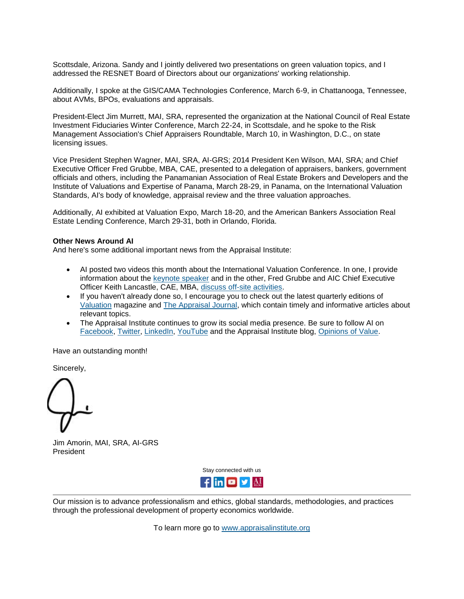Scottsdale, Arizona. Sandy and I jointly delivered two presentations on green valuation topics, and I addressed the RESNET Board of Directors about our organizations' working relationship.

Additionally, I spoke at the GIS/CAMA Technologies Conference, March 6-9, in Chattanooga, Tennessee, about AVMs, BPOs, evaluations and appraisals.

President-Elect Jim Murrett, MAI, SRA, represented the organization at the National Council of Real Estate Investment Fiduciaries Winter Conference, March 22-24, in Scottsdale, and he spoke to the Risk Management Association's Chief Appraisers Roundtable, March 10, in Washington, D.C., on state licensing issues.

Vice President Stephen Wagner, MAI, SRA, AI-GRS; 2014 President Ken Wilson, MAI, SRA; and Chief Executive Officer Fred Grubbe, MBA, CAE, presented to a delegation of appraisers, bankers, government officials and others, including the Panamanian Association of Real Estate Brokers and Developers and the Institute of Valuations and Expertise of Panama, March 28-29, in Panama, on the International Valuation Standards, AI's body of knowledge, appraisal review and the three valuation approaches.

Additionally, AI exhibited at Valuation Expo, March 18-20, and the American Bankers Association Real Estate Lending Conference, March 29-31, both in Orlando, Florida.

### **Other News Around AI**

And here's some additional important news from the Appraisal Institute:

- AI posted two videos this month about the International Valuation Conference. In one, I provide information about the [keynote speaker](http://send.appraisalinstitute.org/link.cfm?r=vSISoX4mGnY2g_XYoMpYzQ~~&pe=WQvk2K_YSQQnNSWOoVlokedVfQEf_6Ua2NoZqw6JxbSGCuwwMnYeO6Ta4RjcrbrV5aY1pKan7aEDorBCqN7NWQ~~) and in the other, Fred Grubbe and AIC Chief Executive Officer Keith Lancastle, CAE, MBA, [discuss off-site activities.](http://send.appraisalinstitute.org/link.cfm?r=vSISoX4mGnY2g_XYoMpYzQ~~&pe=0FbfCgxUpPnn6k6WyOGCCmYp07qd7GkDGxKmo8GsmwtgxOz3fxnmOOs3B-D5eNtKkqdgy_1nk3e62Etdt5-W-w~~)
- If you haven't already done so, I encourage you to check out the latest quarterly editions of [Valuation](http://send.appraisalinstitute.org/link.cfm?r=vSISoX4mGnY2g_XYoMpYzQ~~&pe=Yg0TzOeHstTHw-nP2f1jWW3I8oMRODNl3lisXLX-PjA_tX80hDRavifRdDP5pB8oewcNg2M6RIHy7eOWPbv00Q~~) magazine and [The Appraisal Journal,](http://send.appraisalinstitute.org/link.cfm?r=vSISoX4mGnY2g_XYoMpYzQ~~&pe=POxecA05EFyRYLoAyY0Kp3VbhtLY1yVfR0BrYeOeF07N-dy_0_jcWz-1C62w5hvDTb8U9pCaNDPAuOXJUYrT2w~~) which contain timely and informative articles about relevant topics.
- The Appraisal Institute continues to grow its social media presence. Be sure to follow AI on [Facebook,](http://send.appraisalinstitute.org/link.cfm?r=vSISoX4mGnY2g_XYoMpYzQ~~&pe=IS90qEeDxSlcf-mR1eNy-ZyzG6FVZZ6PY2BUxb9MPrfk0FazLRPkgHJbmQ9yncHGDbd3HRRbQRzafb6rygDj9g~~) [Twitter,](http://send.appraisalinstitute.org/link.cfm?r=vSISoX4mGnY2g_XYoMpYzQ~~&pe=k9CVyeip8vM2DyW_nYnFquINmXzhT2r86SMC_zTks0i1i0wEQzbW1B0U3iy37k_J9vyYiJ7zcjB6kOAi_mzZ6Q~~) [LinkedIn,](http://send.appraisalinstitute.org/link.cfm?r=vSISoX4mGnY2g_XYoMpYzQ~~&pe=uMdVPd6olXubrBWuYzTsy48ldYrWrJQZnwYb7XJxhUMR5MWurRXecDSTWD19EwaGvkfE8l7ANanmGkzX0kWwYQ~~) [YouTube](http://send.appraisalinstitute.org/link.cfm?r=vSISoX4mGnY2g_XYoMpYzQ~~&pe=43spE8H9YvLPwtzwXX1K5Lfp5MORQyvA5T9mlsW7JGruiGnkUGV0_5f92cnv4kQQzAG8DPhYVctkafDwi2rspQ~~) and the Appraisal Institute blog, [Opinions of Value.](http://send.appraisalinstitute.org/link.cfm?r=vSISoX4mGnY2g_XYoMpYzQ~~&pe=BlNSqpQeAazrBOL-sZwHR7QH3LxMMAYIuU_kG191lgME_DySPhjG4yxPFw3FUkfXX4aZpxrNjiozFytw-WSjmw~~)

Have an outstanding month!

Sincerely,

Jim Amorin, MAI, SRA, AI-GRS President

Stay connected with us



Our mission is to advance professionalism and ethics, global standards, methodologies, and practices through the professional development of property economics worldwide.

To learn more go to [www.appraisalinstitute.org](http://send.appraisalinstitute.org/link.cfm?r=vSISoX4mGnY2g_XYoMpYzQ~~&pe=KzM3LKfufYgrANrK39eTzVgYEUOF8yI2aX9cq-pUCY9kqtZVtz1jqcInlejZbkvxjskXWweBLXCE6eCFppWd1w~~)